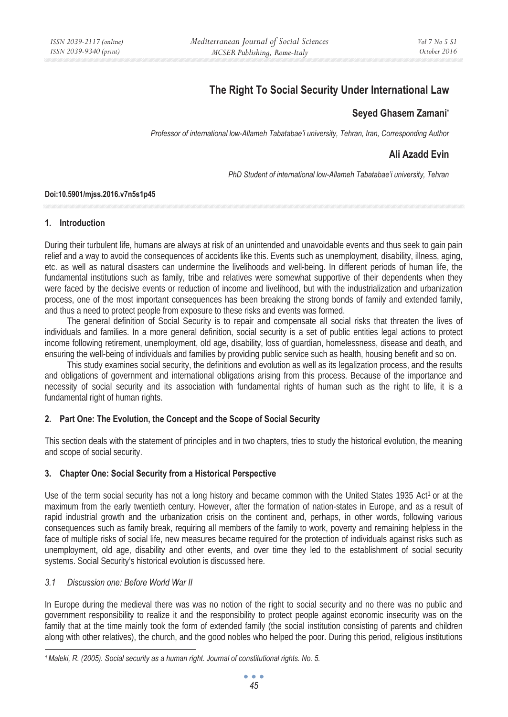# **The Right To Social Security Under International Law**

## **Seyed Ghasem Zamani\***

*Professor of international low-Allameh Tabatabae'i university, Tehran, Iran, Corresponding Author* 

# **Ali Azadd Evin**

*PhD Student of international low-Allameh Tabatabae'i university, Tehran* 

### **Doi:10.5901/mjss.2016.v7n5s1p45**

### **1. Introduction**

During their turbulent life, humans are always at risk of an unintended and unavoidable events and thus seek to gain pain relief and a way to avoid the consequences of accidents like this. Events such as unemployment, disability, illness, aging, etc. as well as natural disasters can undermine the livelihoods and well-being. In different periods of human life, the fundamental institutions such as family, tribe and relatives were somewhat supportive of their dependents when they were faced by the decisive events or reduction of income and livelihood, but with the industrialization and urbanization process, one of the most important consequences has been breaking the strong bonds of family and extended family, and thus a need to protect people from exposure to these risks and events was formed.

The general definition of Social Security is to repair and compensate all social risks that threaten the lives of individuals and families. In a more general definition, social security is a set of public entities legal actions to protect income following retirement, unemployment, old age, disability, loss of guardian, homelessness, disease and death, and ensuring the well-being of individuals and families by providing public service such as health, housing benefit and so on.

This study examines social security, the definitions and evolution as well as its legalization process, and the results and obligations of government and international obligations arising from this process. Because of the importance and necessity of social security and its association with fundamental rights of human such as the right to life, it is a fundamental right of human rights.

### **2. Part One: The Evolution, the Concept and the Scope of Social Security**

This section deals with the statement of principles and in two chapters, tries to study the historical evolution, the meaning and scope of social security.

### **3. Chapter One: Social Security from a Historical Perspective**

Use of the term social security has not a long history and became common with the United States 1935 Act<sup>1</sup> or at the maximum from the early twentieth century. However, after the formation of nation-states in Europe, and as a result of rapid industrial growth and the urbanization crisis on the continent and, perhaps, in other words, following various consequences such as family break, requiring all members of the family to work, poverty and remaining helpless in the face of multiple risks of social life, new measures became required for the protection of individuals against risks such as unemployment, old age, disability and other events, and over time they led to the establishment of social security systems. Social Security's historical evolution is discussed here.

### *3.1 Discussion one: Before World War II*

In Europe during the medieval there was was no notion of the right to social security and no there was no public and government responsibility to realize it and the responsibility to protect people against economic insecurity was on the family that at the time mainly took the form of extended family (the social institution consisting of parents and children along with other relatives), the church, and the good nobles who helped the poor. During this period, religious institutions

*<sup>1</sup> Maleki, R. (2005). Social security as a human right. Journal of constitutional rights. No. 5.*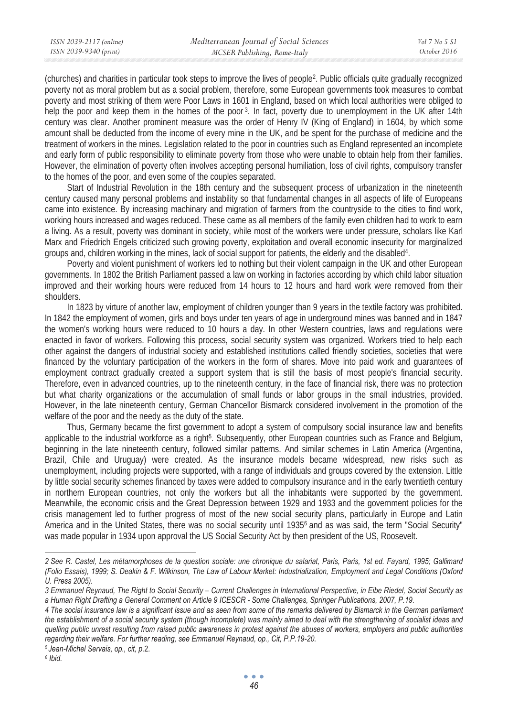(churches) and charities in particular took steps to improve the lives of people2. Public officials quite gradually recognized poverty not as moral problem but as a social problem, therefore, some European governments took measures to combat poverty and most striking of them were Poor Laws in 1601 in England, based on which local authorities were obliged to help the poor and keep them in the homes of the poor<sup>3</sup>. In fact, poverty due to unemployment in the UK after 14th century was clear. Another prominent measure was the order of Henry IV (King of England) in 1604, by which some amount shall be deducted from the income of every mine in the UK, and be spent for the purchase of medicine and the treatment of workers in the mines. Legislation related to the poor in countries such as England represented an incomplete and early form of public responsibility to eliminate poverty from those who were unable to obtain help from their families. However, the elimination of poverty often involves accepting personal humiliation, loss of civil rights, compulsory transfer to the homes of the poor, and even some of the couples separated.

Start of Industrial Revolution in the 18th century and the subsequent process of urbanization in the nineteenth century caused many personal problems and instability so that fundamental changes in all aspects of life of Europeans came into existence. By increasing machinary and migration of farmers from the countryside to the cities to find work, working hours increased and wages reduced. These came as all members of the family even children had to work to earn a living. As a result, poverty was dominant in society, while most of the workers were under pressure, scholars like Karl Marx and Friedrich Engels criticized such growing poverty, exploitation and overall economic insecurity for marginalized groups and, children working in the mines, lack of social support for patients, the elderly and the disabled4.

Poverty and violent punishment of workers led to nothing but their violent campaign in the UK and other European governments. In 1802 the British Parliament passed a law on working in factories according by which child labor situation improved and their working hours were reduced from 14 hours to 12 hours and hard work were removed from their shoulders.

In 1823 by virture of another law, employment of children younger than 9 years in the textile factory was prohibited. In 1842 the employment of women, girls and boys under ten years of age in underground mines was banned and in 1847 the women's working hours were reduced to 10 hours a day. In other Western countries, laws and regulations were enacted in favor of workers. Following this process, social security system was organized. Workers tried to help each other against the dangers of industrial society and established institutions called friendly societies, societies that were financed by the voluntary participation of the workers in the form of shares. Move into paid work and guarantees of employment contract gradually created a support system that is still the basis of most people's financial security. Therefore, even in advanced countries, up to the nineteenth century, in the face of financial risk, there was no protection but what charity organizations or the accumulation of small funds or labor groups in the small industries, provided. However, in the late nineteenth century, German Chancellor Bismarck considered involvement in the promotion of the welfare of the poor and the needy as the duty of the state.

Thus, Germany became the first government to adopt a system of compulsory social insurance law and benefits applicable to the industrial workforce as a right<sup>5</sup>. Subsequently, other European countries such as France and Belgium, beginning in the late nineteenth century, followed similar patterns. And similar schemes in Latin America (Argentina, Brazil, Chile and Uruguay) were created. As the insurance models became widespread, new risks such as unemployment, including projects were supported, with a range of individuals and groups covered by the extension. Little by little social security schemes financed by taxes were added to compulsory insurance and in the early twentieth century in northern European countries, not only the workers but all the inhabitants were supported by the government. Meanwhile, the economic crisis and the Great Depression between 1929 and 1933 and the government policies for the crisis management led to further progress of most of the new social security plans, particularly in Europe and Latin America and in the United States, there was no social security until 1935<sup>6</sup> and as was said, the term "Social Security" was made popular in 1934 upon approval the US Social Security Act by then president of the US, Roosevelt.

*<sup>2</sup> See R. Castel, Les métamorphoses de la question sociale: une chronique du salariat, Paris, Paris, 1st ed. Fayard, 1995; Gallimard (Folio Essais), 1999; S. Deakin & F. Wilkinson, The Law of Labour Market: Industrialization, Employment and Legal Conditions (Oxford U. Press 2005).* 

*<sup>3</sup> Emmanuel Reynaud, The Right to Social Security – Current Challenges in International Perspective, in Eibe Riedel, Social Security as a Human Right Drafting a General Comment on Article 9 ICESCR - Some Challenges, Springer Publications, 2007, P.19.* 

*<sup>4</sup> The social insurance law is a significant issue and as seen from some of the remarks delivered by Bismarck in the German parliament the establishment of a social security system (though incomplete) was mainly aimed to deal with the strengthening of socialist ideas and quelling public unrest resulting from raised public awareness in protest against the abuses of workers, employers and public authorities regarding their welfare. For further reading, see Emmanuel Reynaud, op., Cit, P.P.19-20.* <sup>5</sup> Jean-Michel Servais, op., cit, p.2. *6* Ibid.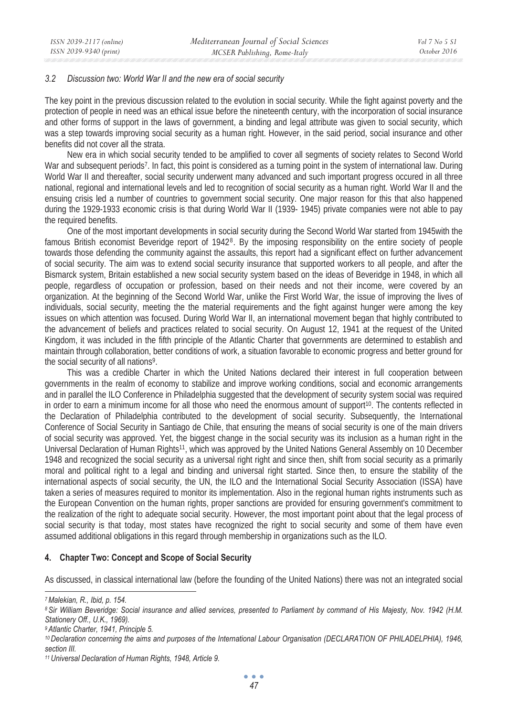#### *3.2 Discussion two: World War II and the new era of social security*

The key point in the previous discussion related to the evolution in social security. While the fight against poverty and the protection of people in need was an ethical issue before the nineteenth century, with the incorporation of social insurance and other forms of support in the laws of government, a binding and legal attribute was given to social security, which was a step towards improving social security as a human right. However, in the said period, social insurance and other benefits did not cover all the strata.

New era in which social security tended to be amplified to cover all segments of society relates to Second World War and subsequent periods<sup>7</sup>. In fact, this point is considered as a turning point in the system of international law. During World War II and thereafter, social security underwent many advanced and such important progress occured in all three national, regional and international levels and led to recognition of social security as a human right. World War II and the ensuing crisis led a number of countries to government social security. One major reason for this that also happened during the 1929-1933 economic crisis is that during World War II (1939- 1945) private companies were not able to pay the required benefits.

One of the most important developments in social security during the Second World War started from 1945with the famous British economist Beveridge report of 1942<sup>8</sup>. By the imposing responsibility on the entire society of people towards those defending the community against the assaults, this report had a significant effect on further advancement of social security. The aim was to extend social security insurance that supported workers to all people, and after the Bismarck system, Britain established a new social security system based on the ideas of Beveridge in 1948, in which all people, regardless of occupation or profession, based on their needs and not their income, were covered by an organization. At the beginning of the Second World War, unlike the First World War, the issue of improving the lives of individuals, social security, meeting the the material requirements and the fight against hunger were among the key issues on which attention was focused. During World War II, an international movement began that highly contributed to the advancement of beliefs and practices related to social security. On August 12, 1941 at the request of the United Kingdom, it was included in the fifth principle of the Atlantic Charter that governments are determined to establish and maintain through collaboration, better conditions of work, a situation favorable to economic progress and better ground for the social security of all nations<sup>9</sup>.

This was a credible Charter in which the United Nations declared their interest in full cooperation between governments in the realm of economy to stabilize and improve working conditions, social and economic arrangements and in parallel the ILO Conference in Philadelphia suggested that the development of security system social was required in order to earn a minimum income for all those who need the enormous amount of support<sup>10</sup>. The contents reflected in the Declaration of Philadelphia contributed to the development of social security. Subsequently, the International Conference of Social Security in Santiago de Chile, that ensuring the means of social security is one of the main drivers of social security was approved. Yet, the biggest change in the social security was its inclusion as a human right in the Universal Declaration of Human Rights<sup>11</sup>, which was approved by the United Nations General Assembly on 10 December 1948 and recognized the social security as a universal right right and since then, shift from social security as a primarily moral and political right to a legal and binding and universal right started. Since then, to ensure the stability of the international aspects of social security, the UN, the ILO and the International Social Security Association (ISSA) have taken a series of measures required to monitor its implementation. Also in the regional human rights instruments such as the European Convention on the human rights, proper sanctions are provided for ensuring government's commitment to the realization of the right to adequate social security. However, the most important point about that the legal process of social security is that today, most states have recognized the right to social security and some of them have even assumed additional obligations in this regard through membership in organizations such as the ILO.

### **4. Chapter Two: Concept and Scope of Social Security**

As discussed, in classical international law (before the founding of the United Nations) there was not an integrated social

*<sup>7</sup> Malekian, R., Ibid, p. 154.* 

*<sup>8</sup> Sir William Beveridge: Social insurance and allied services, presented to Parliament by command of His Majesty, Nov. 1942 (H.M. Stationery Off., U.K., 1969).* 

*<sup>9</sup> Atlantic Charter, 1941, Principle 5.* 

<sup>&</sup>lt;sup>10</sup> Declaration concerning the aims and purposes of the International Labour Organisation (DECLARATION OF PHILADELPHIA), 1946, *section III.* 

*<sup>11</sup> Universal Declaration of Human Rights, 1948, Article 9.*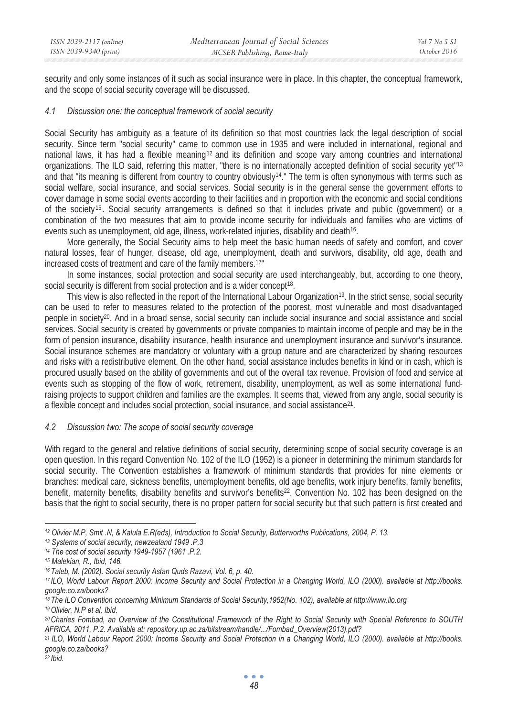security and only some instances of it such as social insurance were in place. In this chapter, the conceptual framework, and the scope of social security coverage will be discussed.

### *4.1 Discussion one: the conceptual framework of social security*

Social Security has ambiguity as a feature of its definition so that most countries lack the legal description of social security. Since term "social security" came to common use in 1935 and were included in international, regional and national laws, it has had a flexible meaning12 and its definition and scope vary among countries and international organizations. The ILO said, referring this matter, "there is no internationally accepted definition of social security yet"<sup>13</sup> and that "its meaning is different from country to country obviously14." The term is often synonymous with terms such as social welfare, social insurance, and social services. Social security is in the general sense the government efforts to cover damage in some social events according to their facilities and in proportion with the economic and social conditions of the society <sup>15</sup> . Social security arrangements is defined so that it includes private and public (government) or a combination of the two measures that aim to provide income security for individuals and families who are victims of events such as unemployment, old age, illness, work-related injuries, disability and death<sup>16</sup>.

More generally, the Social Security aims to help meet the basic human needs of safety and comfort, and cover natural losses, fear of hunger, disease, old age, unemployment, death and survivors, disability, old age, death and increased costs of treatment and care of the family members.17"

In some instances, social protection and social security are used interchangeably, but, according to one theory, social security is different from social protection and is a wider concept<sup>18</sup>.

This view is also reflected in the report of the International Labour Organization<sup>19</sup>. In the strict sense, social security can be used to refer to measures related to the protection of the poorest, most vulnerable and most disadvantaged people in society20. And in a broad sense, social security can include social insurance and social assistance and social services. Social security is created by governments or private companies to maintain income of people and may be in the form of pension insurance, disability insurance, health insurance and unemployment insurance and survivor's insurance. Social insurance schemes are mandatory or voluntary with a group nature and are characterized by sharing resources and risks with a redistributive element. On the other hand, social assistance includes benefits in kind or in cash, which is procured usually based on the ability of governments and out of the overall tax revenue. Provision of food and service at events such as stopping of the flow of work, retirement, disability, unemployment, as well as some international fundraising projects to support children and families are the examples. It seems that, viewed from any angle, social security is a flexible concept and includes social protection, social insurance, and social assistance<sup>21</sup>.

### *4.2 Discussion two: The scope of social security coverage*

With regard to the general and relative definitions of social security, determining scope of social security coverage is an open question. In this regard Convention No. 102 of the ILO (1952) is a pioneer in determining the minimum standards for social security. The Convention establishes a framework of minimum standards that provides for nine elements or branches: medical care, sickness benefits, unemployment benefits, old age benefits, work injury benefits, family benefits, benefit, maternity benefits, disability benefits and survivor's benefits<sup>22</sup>. Convention No. 102 has been designed on the basis that the right to social security, there is no proper pattern for social security but that such pattern is first created and

*22 Ibid.* 

 *12 Olivier M.P, Smit .N, & Kalula E.R(eds), Introduction to Social Security, Butterworths Publications, 2004, P. 13. 13 Systems of social security, newzealand 1949 .P.3* 

*<sup>14</sup> The cost of social security 1949-1957 (1961 .P.2.* 

*<sup>15</sup> Malekian, R., Ibid, 146.* 

<sup>&</sup>lt;sup>16</sup> Taleb, M. (2002). Social security Astan Quds Razavi, Vol. 6, p. 40.<br><sup>17</sup> ILO, World Labour Report 2000: Income Security and Social Protection in a Changing World, ILO (2000). available at http://books. *google.co.za/books?* 

*<sup>18</sup> The ILO Convention concerning Minimum Standards of Social Security,1952(No. 102), available at http://www.ilo.org* 

*<sup>19</sup> Olivier, N.P et al, Ibid.* 

*<sup>20</sup> Charles Fombad, an Overview of the Constitutional Framework of the Right to Social Security with Special Reference to SOUTH*  AFRICA, 2011, P.2. Available at: repository.up.ac.za/bitstream/handle/.../Fombad\_Overview(2013).pdf?<br><sup>21</sup> ILO, World Labour Report 2000: Income Security and Social Protection in a Changing World, ILO (2000). available at h

*google.co.za/books?*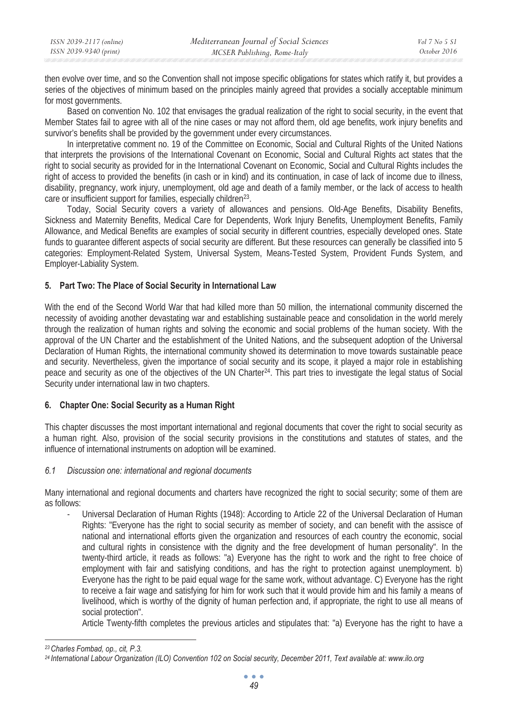| ISSN 2039-2117 (online) | Mediterranean Journal of Social Sciences | Vol 7 No 5 S1 |
|-------------------------|------------------------------------------|---------------|
| ISSN 2039-9340 (print)  | MCSER Publishing, Rome-Italy             | October 2016  |

then evolve over time, and so the Convention shall not impose specific obligations for states which ratify it, but provides a series of the objectives of minimum based on the principles mainly agreed that provides a socially acceptable minimum for most governments.

Based on convention No. 102 that envisages the gradual realization of the right to social security, in the event that Member States fail to agree with all of the nine cases or may not afford them, old age benefits, work injury benefits and survivor's benefits shall be provided by the government under every circumstances.

In interpretative comment no. 19 of the Committee on Economic, Social and Cultural Rights of the United Nations that interprets the provisions of the International Covenant on Economic, Social and Cultural Rights act states that the right to social security as provided for in the International Covenant on Economic, Social and Cultural Rights includes the right of access to provided the benefits (in cash or in kind) and its continuation, in case of lack of income due to illness, disability, pregnancy, work injury, unemployment, old age and death of a family member, or the lack of access to health care or insufficient support for families, especially children23.

Today, Social Security covers a variety of allowances and pensions. Old-Age Benefits, Disability Benefits, Sickness and Maternity Benefits, Medical Care for Dependents, Work Injury Benefits, Unemployment Benefits, Family Allowance, and Medical Benefits are examples of social security in different countries, especially developed ones. State funds to guarantee different aspects of social security are different. But these resources can generally be classified into 5 categories: Employment-Related System, Universal System, Means-Tested System, Provident Funds System, and Employer-Labiality System.

### **5. Part Two: The Place of Social Security in International Law**

With the end of the Second World War that had killed more than 50 million, the international community discerned the necessity of avoiding another devastating war and establishing sustainable peace and consolidation in the world merely through the realization of human rights and solving the economic and social problems of the human society. With the approval of the UN Charter and the establishment of the United Nations, and the subsequent adoption of the Universal Declaration of Human Rights, the international community showed its determination to move towards sustainable peace and security. Nevertheless, given the importance of social security and its scope, it played a major role in establishing peace and security as one of the objectives of the UN Charter24. This part tries to investigate the legal status of Social Security under international law in two chapters.

### **6. Chapter One: Social Security as a Human Right**

This chapter discusses the most important international and regional documents that cover the right to social security as a human right. Also, provision of the social security provisions in the constitutions and statutes of states, and the influence of international instruments on adoption will be examined.

### *6.1 Discussion one: international and regional documents*

Many international and regional documents and charters have recognized the right to social security; some of them are as follows:

- Universal Declaration of Human Rights (1948): According to Article 22 of the Universal Declaration of Human Rights: "Everyone has the right to social security as member of society, and can benefit with the assisce of national and international efforts given the organization and resources of each country the economic, social and cultural rights in consistence with the dignity and the free development of human personality". In the twenty-third article, it reads as follows: "a) Everyone has the right to work and the right to free choice of employment with fair and satisfying conditions, and has the right to protection against unemployment. b) Everyone has the right to be paid equal wage for the same work, without advantage. C) Everyone has the right to receive a fair wage and satisfying for him for work such that it would provide him and his family a means of livelihood, which is worthy of the dignity of human perfection and, if appropriate, the right to use all means of social protection".

Article Twenty-fifth completes the previous articles and stipulates that: "a) Everyone has the right to have a

*<sup>23</sup> Charles Fombad, op., cit, P.3.* 

*<sup>24</sup> International Labour Organization (ILO) Convention 102 on Social security, December 2011, Text available at: www.ilo.org*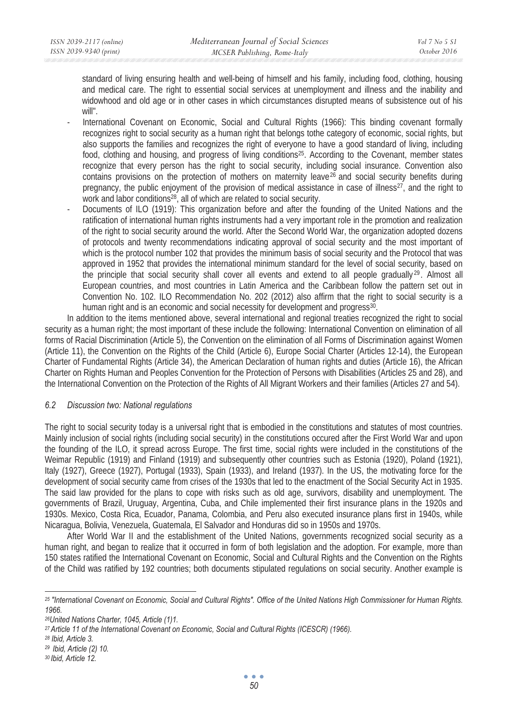standard of living ensuring health and well-being of himself and his family, including food, clothing, housing and medical care. The right to essential social services at unemployment and illness and the inability and widowhood and old age or in other cases in which circumstances disrupted means of subsistence out of his will".

- International Covenant on Economic, Social and Cultural Rights (1966): This binding covenant formally recognizes right to social security as a human right that belongs tothe category of economic, social rights, but also supports the families and recognizes the right of everyone to have a good standard of living, including food, clothing and housing, and progress of living conditions25. According to the Covenant, member states recognize that every person has the right to social security, including social insurance. Convention also contains provisions on the protection of mothers on maternity leave<sup>26</sup> and social security benefits during pregnancy, the public enjoyment of the provision of medical assistance in case of illness<sup>27</sup>, and the right to work and labor conditions<sup>28</sup>, all of which are related to social security.
- Documents of ILO (1919): This organization before and after the founding of the United Nations and the ratification of international human rights instruments had a very important role in the promotion and realization of the right to social security around the world. After the Second World War, the organization adopted dozens of protocols and twenty recommendations indicating approval of social security and the most important of which is the protocol number 102 that provides the minimum basis of social security and the Protocol that was approved in 1952 that provides the international minimum standard for the level of social security, based on the principle that social security shall cover all events and extend to all people gradually  $29$ . Almost all European countries, and most countries in Latin America and the Caribbean follow the pattern set out in Convention No. 102. ILO Recommendation No. 202 (2012) also affirm that the right to social security is a human right and is an economic and social necessity for development and progress<sup>30</sup>.

In addition to the items mentioned above, several international and regional treaties recognized the right to social security as a human right; the most important of these include the following: International Convention on elimination of all forms of Racial Discrimination (Article 5), the Convention on the elimination of all Forms of Discrimination against Women (Article 11), the Convention on the Rights of the Child (Article 6), Europe Social Charter (Articles 12-14), the European Charter of Fundamental Rights (Article 34), the American Declaration of human rights and duties (Article 16), the African Charter on Rights Human and Peoples Convention for the Protection of Persons with Disabilities (Articles 25 and 28), and the International Convention on the Protection of the Rights of All Migrant Workers and their families (Articles 27 and 54).

### *6.2 Discussion two: National regulations*

The right to social security today is a universal right that is embodied in the constitutions and statutes of most countries. Mainly inclusion of social rights (including social security) in the constitutions occured after the First World War and upon the founding of the ILO, it spread across Europe. The first time, social rights were included in the constitutions of the Weimar Republic (1919) and Finland (1919) and subsequently other countries such as Estonia (1920), Poland (1921), Italy (1927), Greece (1927), Portugal (1933), Spain (1933), and Ireland (1937). In the US, the motivating force for the development of social security came from crises of the 1930s that led to the enactment of the Social Security Act in 1935. The said law provided for the plans to cope with risks such as old age, survivors, disability and unemployment. The governments of Brazil, Uruguay, Argentina, Cuba, and Chile implemented their first insurance plans in the 1920s and 1930s. Mexico, Costa Rica, Ecuador, Panama, Colombia, and Peru also executed insurance plans first in 1940s, while Nicaragua, Bolivia, Venezuela, Guatemala, El Salvador and Honduras did so in 1950s and 1970s.

After World War II and the establishment of the United Nations, governments recognized social security as a human right, and began to realize that it occurred in form of both legislation and the adoption. For example, more than 150 states ratified the International Covenant on Economic, Social and Cultural Rights and the Convention on the Rights of the Child was ratified by 192 countries; both documents stipulated regulations on social security. Another example is

*<sup>25 &</sup>quot;International Covenant on Economic, Social and Cultural Rights". Office of the United Nations High Commissioner for Human Rights. 1966.* 

*<sup>26</sup>United Nations Charter, 1045, Article (1)1.* 

*<sup>27</sup> Article 11 of the International Covenant on Economic, Social and Cultural Rights (ICESCR) (1966). 28 Ibid, Article 3.* 

*<sup>29</sup> Ibid, Article (2) 10.* 

*<sup>30</sup> Ibid, Article 12.*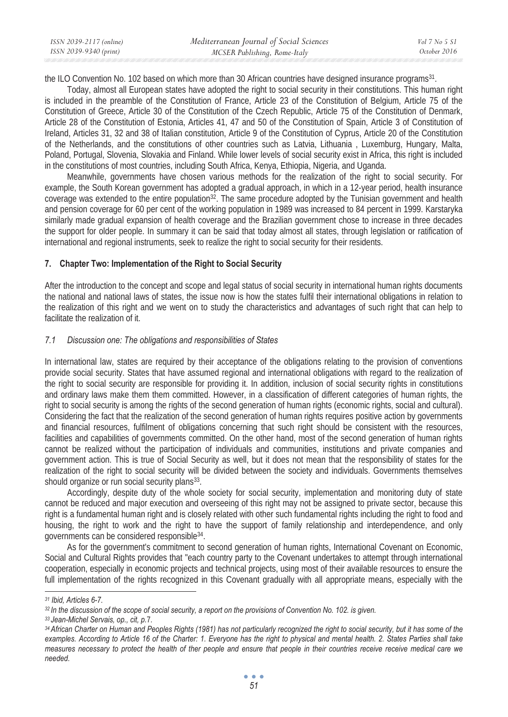| ISSN 2039-2117 (online) | Mediterranean Journal of Social Sciences | $Vol 7$ No 5 S1 |
|-------------------------|------------------------------------------|-----------------|
| ISSN 2039-9340 (print)  | MCSER Publishing, Rome-Italy             | October 2016    |

the ILO Convention No. 102 based on which more than 30 African countries have designed insurance programs31.

Today, almost all European states have adopted the right to social security in their constitutions. This human right is included in the preamble of the Constitution of France, Article 23 of the Constitution of Belgium, Article 75 of the Constitution of Greece, Article 30 of the Constitution of the Czech Republic, Article 75 of the Constitution of Denmark, Article 28 of the Constitution of Estonia, Articles 41, 47 and 50 of the Constitution of Spain, Article 3 of Constitution of Ireland, Articles 31, 32 and 38 of Italian constitution, Article 9 of the Constitution of Cyprus, Article 20 of the Constitution of the Netherlands, and the constitutions of other countries such as Latvia, Lithuania , Luxemburg, Hungary, Malta, Poland, Portugal, Slovenia, Slovakia and Finland. While lower levels of social security exist in Africa, this right is included in the constitutions of most countries, including South Africa, Kenya, Ethiopia, Nigeria, and Uganda.

Meanwhile, governments have chosen various methods for the realization of the right to social security. For example, the South Korean government has adopted a gradual approach, in which in a 12-year period, health insurance coverage was extended to the entire population<sup>32</sup>. The same procedure adopted by the Tunisian government and health and pension coverage for 60 per cent of the working population in 1989 was increased to 84 percent in 1999. Karstaryka similarly made gradual expansion of health coverage and the Brazilian government chose to increase in three decades the support for older people. In summary it can be said that today almost all states, through legislation or ratification of international and regional instruments, seek to realize the right to social security for their residents.

#### **7. Chapter Two: Implementation of the Right to Social Security**

After the introduction to the concept and scope and legal status of social security in international human rights documents the national and national laws of states, the issue now is how the states fulfil their international obligations in relation to the realization of this right and we went on to study the characteristics and advantages of such right that can help to facilitate the realization of it.

### *7.1 Discussion one: The obligations and responsibilities of States*

In international law, states are required by their acceptance of the obligations relating to the provision of conventions provide social security. States that have assumed regional and international obligations with regard to the realization of the right to social security are responsible for providing it. In addition, inclusion of social security rights in constitutions and ordinary laws make them them committed. However, in a classification of different categories of human rights, the right to social security is among the rights of the second generation of human rights (economic rights, social and cultural). Considering the fact that the realization of the second generation of human rights requires positive action by governments and financial resources, fulfilment of obligations concerning that such right should be consistent with the resources, facilities and capabilities of governments committed. On the other hand, most of the second generation of human rights cannot be realized without the participation of individuals and communities, institutions and private companies and government action. This is true of Social Security as well, but it does not mean that the responsibility of states for the realization of the right to social security will be divided between the society and individuals. Governments themselves should organize or run social security plans<sup>33</sup>.

Accordingly, despite duty of the whole society for social security, implementation and monitoring duty of state cannot be reduced and major execution and overseeing of this right may not be assigned to private sector, because this right is a fundamental human right and is closely related with other such fundamental rights including the right to food and housing, the right to work and the right to have the support of family relationship and interdependence, and only governments can be considered responsible34.

As for the government's commitment to second generation of human rights, International Covenant on Economic, Social and Cultural Rights provides that "each country party to the Covenant undertakes to attempt through international cooperation, especially in economic projects and technical projects, using most of their available resources to ensure the full implementation of the rights recognized in this Covenant gradually with all appropriate means, especially with the

*<sup>31</sup> Ibid, Articles 6-7.* 

*<sup>32</sup> In the discussion of the scope of social security, a report on the provisions of Convention No. 102. is given.* 

*<sup>33</sup> Jean-Michel Servais, op., cit, p.*7*. 34 African Charter on Human and Peoples Rights (1981) has not particularly recognized the right to social security, but it has some of the examples. According to Article 16 of the Charter: 1. Everyone has the right to physical and mental health. 2. States Parties shall take measures necessary to protect the health of ther people and ensure that people in their countries receive receive medical care we needed.*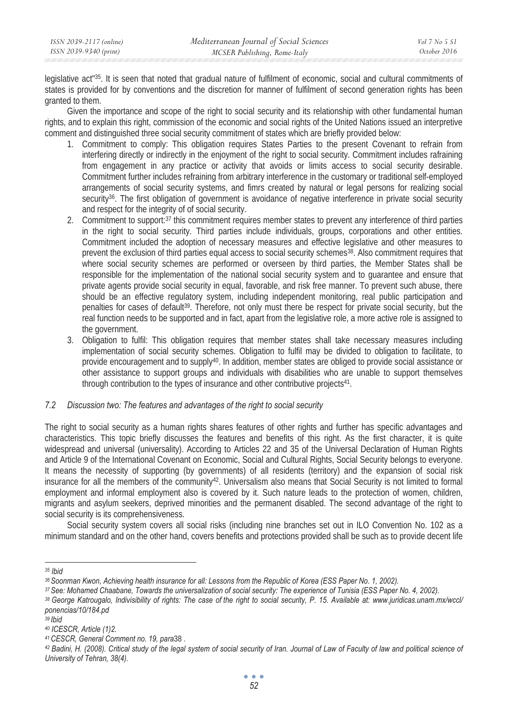legislative act"35. It is seen that noted that gradual nature of fulfilment of economic, social and cultural commitments of states is provided for by conventions and the discretion for manner of fulfilment of second generation rights has been granted to them.

Given the importance and scope of the right to social security and its relationship with other fundamental human rights, and to explain this right, commission of the economic and social rights of the United Nations issued an interpretive comment and distinguished three social security commitment of states which are briefly provided below:

- 1. Commitment to comply: This obligation requires States Parties to the present Covenant to refrain from interfering directly or indirectly in the enjoyment of the right to social security. Commitment includes rafraining from engagement in any practice or activity that avoids or limits access to social security desirable. Commitment further includes refraining from arbitrary interference in the customary or traditional self-employed arrangements of social security systems, and fimrs created by natural or legal persons for realizing social security<sup>36</sup>. The first obligation of government is avoidance of negative interference in private social security and respect for the integrity of of social security.
- 2. Commitment to support:<sup>37</sup> this commitment requires member states to prevent any interference of third parties in the right to social security. Third parties include individuals, groups, corporations and other entities. Commitment included the adoption of necessary measures and effective legislative and other measures to prevent the exclusion of third parties equal access to social security schemes38. Also commitment requires that where social security schemes are performed or overseen by third parties, the Member States shall be responsible for the implementation of the national social security system and to guarantee and ensure that private agents provide social security in equal, favorable, and risk free manner. To prevent such abuse, there should be an effective regulatory system, including independent monitoring, real public participation and penalties for cases of default<sup>39</sup>. Therefore, not only must there be respect for private social security, but the real function needs to be supported and in fact, apart from the legislative role, a more active role is assigned to the government.
- 3. Obligation to fulfil: This obligation requires that member states shall take necessary measures including implementation of social security schemes. Obligation to fulfil may be divided to obligation to facilitate, to provide encouragement and to supply40. In addition, member states are obliged to provide social assistance or other assistance to support groups and individuals with disabilities who are unable to support themselves through contribution to the types of insurance and other contributive projects<sup>41</sup>.

### *7.2 Discussion two: The features and advantages of the right to social security*

The right to social security as a human rights shares features of other rights and further has specific advantages and characteristics. This topic briefly discusses the features and benefits of this right. As the first character, it is quite widespread and universal (universality). According to Articles 22 and 35 of the Universal Declaration of Human Rights and Article 9 of the International Covenant on Economic, Social and Cultural Rights, Social Security belongs to everyone. It means the necessity of supporting (by governments) of all residents (territory) and the expansion of social risk insurance for all the members of the community<sup>42</sup>. Universalism also means that Social Security is not limited to formal employment and informal employment also is covered by it. Such nature leads to the protection of women, children, migrants and asylum seekers, deprived minorities and the permanent disabled. The second advantage of the right to social security is its comprehensiveness.

Social security system covers all social risks (including nine branches set out in ILO Convention No. 102 as a minimum standard and on the other hand, covers benefits and protections provided shall be such as to provide decent life

*<sup>35</sup> Ibid* 

<sup>&</sup>lt;sup>36</sup> Soonman Kwon, Achieving health insurance for all: Lessons from the Republic of Korea (ESS Paper No. 1, 2002).<br><sup>37</sup> See: Mohamed Chaabane, Towards the universalization of social security: The experience of Tunisia (ESS

*ponencias/10/184.pd* 

*<sup>39</sup> Ibid* 

*<sup>40</sup> ICESCR, Article (1)2.* 

*<sup>41</sup> CESCR, General Comment no. 19, para*<sup>38</sup> *. 42 Badini, H. (2008). Critical study of the legal system of social security of Iran. Journal of Law of Faculty of law and political science of University of Tehran, 38(4).*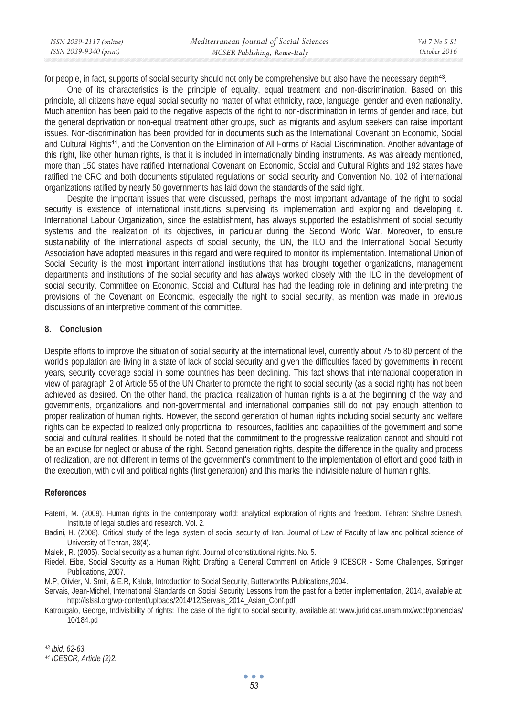| ISSN 2039-2117 (online) | Mediterranean Journal of Social Sciences | Vol 7 No 5 S1 |
|-------------------------|------------------------------------------|---------------|
| ISSN 2039-9340 (print)  | MCSER Publishing, Rome-Italy             | October 2016  |

for people, in fact, supports of social security should not only be comprehensive but also have the necessary depth43.

One of its characteristics is the principle of equality, equal treatment and non-discrimination. Based on this principle, all citizens have equal social security no matter of what ethnicity, race, language, gender and even nationality. Much attention has been paid to the negative aspects of the right to non-discrimination in terms of gender and race, but the general deprivation or non-equal treatment other groups, such as migrants and asylum seekers can raise important issues. Non-discrimination has been provided for in documents such as the International Covenant on Economic, Social and Cultural Rights<sup>44</sup>, and the Convention on the Elimination of All Forms of Racial Discrimination. Another advantage of this right, like other human rights, is that it is included in internationally binding instruments. As was already mentioned, more than 150 states have ratified International Covenant on Economic, Social and Cultural Rights and 192 states have ratified the CRC and both documents stipulated regulations on social security and Convention No. 102 of international organizations ratified by nearly 50 governments has laid down the standards of the said right.

Despite the important issues that were discussed, perhaps the most important advantage of the right to social security is existence of international institutions supervising its implementation and exploring and developing it. International Labour Organization, since the establishment, has always supported the establishment of social security systems and the realization of its objectives, in particular during the Second World War. Moreover, to ensure sustainability of the international aspects of social security, the UN, the ILO and the International Social Security Association have adopted measures in this regard and were required to monitor its implementation. International Union of Social Security is the most important international institutions that has brought together organizations, management departments and institutions of the social security and has always worked closely with the ILO in the development of social security. Committee on Economic, Social and Cultural has had the leading role in defining and interpreting the provisions of the Covenant on Economic, especially the right to social security, as mention was made in previous discussions of an interpretive comment of this committee.

#### **8. Conclusion**

Despite efforts to improve the situation of social security at the international level, currently about 75 to 80 percent of the world's population are living in a state of lack of social security and given the difficulties faced by governments in recent years, security coverage social in some countries has been declining. This fact shows that international cooperation in view of paragraph 2 of Article 55 of the UN Charter to promote the right to social security (as a social right) has not been achieved as desired. On the other hand, the practical realization of human rights is a at the beginning of the way and governments, organizations and non-governmental and international companies still do not pay enough attention to proper realization of human rights. However, the second generation of human rights including social security and welfare rights can be expected to realized only proportional to resources, facilities and capabilities of the government and some social and cultural realities. It should be noted that the commitment to the progressive realization cannot and should not be an excuse for neglect or abuse of the right. Second generation rights, despite the difference in the quality and process of realization, are not different in terms of the government's commitment to the implementation of effort and good faith in the execution, with civil and political rights (first generation) and this marks the indivisible nature of human rights.

### **References**

- Fatemi, M. (2009). Human rights in the contemporary world: analytical exploration of rights and freedom. Tehran: Shahre Danesh, Institute of legal studies and research. Vol. 2.
- Badini, H. (2008). Critical study of the legal system of social security of Iran. Journal of Law of Faculty of law and political science of University of Tehran, 38(4).
- Maleki, R. (2005). Social security as a human right. Journal of constitutional rights. No. 5.
- Riedel, Eibe, Social Security as a Human Right; Drafting a General Comment on Article 9 ICESCR Some Challenges, Springer Publications, 2007.
- M.P, Olivier, N. Smit, & E.R, Kalula, Introduction to Social Security, Butterworths Publications,2004.
- Servais, Jean-Michel, International Standards on Social Security Lessons from the past for a better implementation, 2014, available at: http://islssl.org/wp-content/uploads/2014/12/Servais\_2014\_Asian\_Conf.pdf.
- Katrougalo, George, Indivisibility of rights: The case of the right to social security, available at: www.juridicas.unam.mx/wccl/ponencias/ 10/184.pd

*<sup>43</sup> Ibid, 62-63.* 

*<sup>44</sup> ICESCR, Article (2)2.*